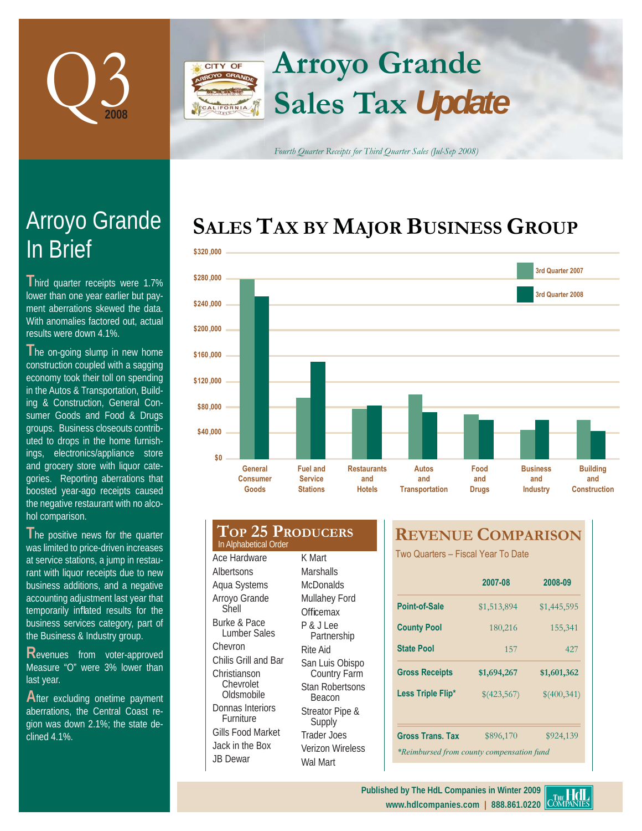

In Brief

results were down 4.1%.

hol comparison.

**T**hird quarter receipts were 1.7% lower than one year earlier but payment aberrations skewed the data. With anomalies factored out, actual

Arroyo Grande

**The on-going slump in new home** construction coupled with a sagging economy took their toll on spending in the Autos & Transportation, Building & Construction, General Consumer Goods and Food & Drugs groups. Business closeouts contributed to drops in the home furnishings, electronics/appliance store and grocery store with liquor categories. Reporting aberrations that boosted year-ago receipts caused the negative restaurant with no alco-

## **Arroyo Grande** CITY OF **Sales Tax** *Update* ALIFORNIA

*Fourth Quarter Receipts for Third Quarter Sales (Jul-Sep 2008)*

# SALES TAX BY MAJOR BUSINESS GROUP



| J∠OU,∪UU  |                                   |                                   |                           |                       |              |                        |                        |
|-----------|-----------------------------------|-----------------------------------|---------------------------|-----------------------|--------------|------------------------|------------------------|
|           |                                   |                                   |                           |                       |              | 3rd Quarter 2008       |                        |
| \$240,000 |                                   |                                   |                           |                       |              |                        |                        |
| \$200,000 |                                   |                                   |                           |                       |              |                        |                        |
| \$160,000 |                                   |                                   |                           |                       |              |                        |                        |
| \$120,000 |                                   |                                   |                           |                       |              |                        |                        |
| \$80,000  |                                   |                                   |                           |                       |              |                        |                        |
| \$40,000  |                                   |                                   |                           |                       |              |                        |                        |
| \$0       |                                   |                                   |                           |                       |              |                        |                        |
|           | <b>General</b><br><b>Consumer</b> | <b>Fuel and</b><br><b>Service</b> | <b>Restaurants</b><br>and | <b>Autos</b><br>and   | Food<br>and  | <b>Business</b><br>and | <b>Building</b><br>and |
|           | <b>Goods</b>                      | <b>Stations</b>                   | <b>Hotels</b>             | <b>Transportation</b> | <b>Drugs</b> | <b>Industry</b>        | <b>Construction</b>    |

| The positive news for the quarter      |
|----------------------------------------|
| was limited to price-driven increases  |
| at service stations, a jump in restau- |
| rant with liquor receipts due to new   |
| business additions, and a negative     |
| accounting adjustment last year that   |
| temporarily inflated results for the   |
| business services category, part of    |
| the Business & Industry group.         |

**R**evenues from voter-approved Measure "O" were 3% lower than last year.

**A**fter excluding onetime payment aberrations, the Central Coast region was down 2.1%; the state declined 4.1%.

| <b>TOP 25 PRODUCERS</b><br>In Alphabetical Order |                                        |
|--------------------------------------------------|----------------------------------------|
| Ace Hardware                                     | K Mart                                 |
| Albertsons                                       | Marshalls                              |
| Aqua Systems                                     | McDonalds                              |
| Arroyo Grande                                    | Mullahey Ford                          |
| Shell                                            | Officemax                              |
| Burke & Pace<br>Lumber Sales                     | P&JLee<br>Partnership                  |
| Chevron                                          | Rite Aid                               |
| Chilis Grill and Bar<br>Christianson             | San Luis Obispo<br><b>Country Farm</b> |
| Chevrolet<br>Oldsmobile                          | <b>Stan Robertsons</b><br>Beacon       |
| Donnas Interiors<br>Furniture                    | Streator Pipe &<br>Supply              |
| Gills Food Market                                | <b>Trader Joes</b>                     |
| Jack in the Box                                  | Verizon Wireless                       |
| JB Dewar                                         | Wal Mart                               |

# **REVENUE COMPARISON**

Two Quarters - Fiscal Year To Date

|                                           | 2007-08     | 2008-09     |  |  |  |
|-------------------------------------------|-------------|-------------|--|--|--|
| Point-of-Sale                             | \$1,513,894 | \$1,445,595 |  |  |  |
| <b>County Pool</b>                        | 180,216     | 155,341     |  |  |  |
| <b>State Pool</b>                         | 157         | 427         |  |  |  |
| <b>Gross Receipts</b>                     | \$1,694,267 | \$1,601,362 |  |  |  |
| Less Triple Flip*                         | \$(423,567) | \$(400,341) |  |  |  |
|                                           |             |             |  |  |  |
| <b>Gross Trans. Tax</b>                   | \$896,170   | \$924,139   |  |  |  |
| *Reimbursed from county compensation fund |             |             |  |  |  |